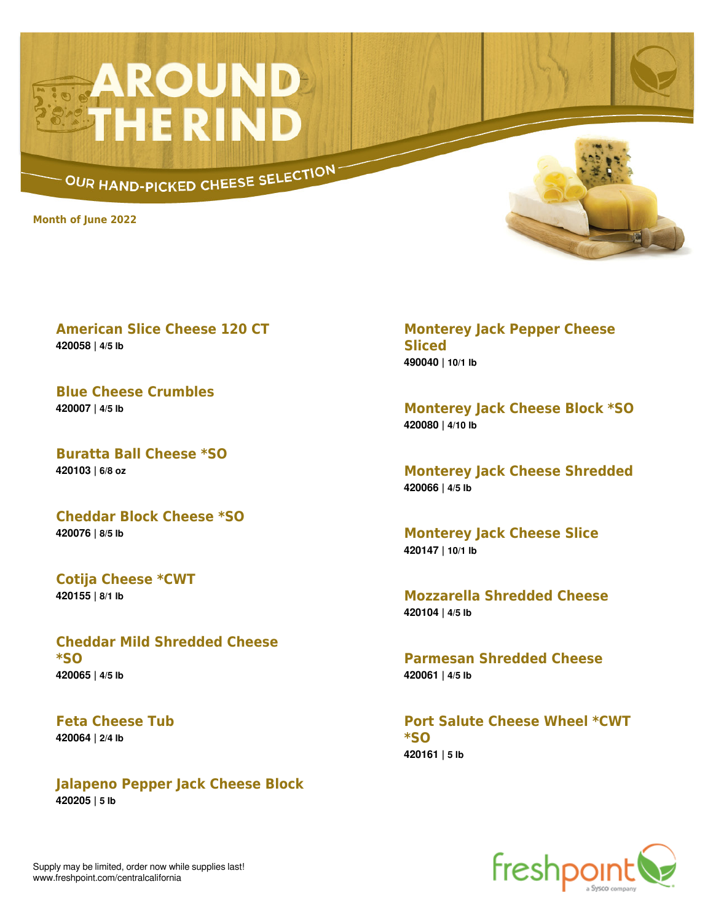## **AROUND**<br>THE RIND

OUR HAND-PICKED CHEESE SELECTION

**Month of June 2022**



**American Slice Cheese 120 CT 420058 | 4/5 lb**

**Blue Cheese Crumbles 420007 | 4/5 lb**

**Buratta Ball Cheese \*SO 420103 | 6/8 oz**

**Cheddar Block Cheese \*SO 420076 | 8/5 lb**

**Cotija Cheese \*CWT 420155 | 8/1 lb**

**Cheddar Mild Shredded Cheese \*SO 420065 | 4/5 lb**

**Feta Cheese Tub 420064 | 2/4 lb**

**Jalapeno Pepper Jack Cheese Block 420205 | 5 lb**

**Monterey Jack Pepper Cheese Sliced 490040 | 10/1 lb**

**Monterey Jack Cheese Block \*SO 420080 | 4/10 lb**

**Monterey Jack Cheese Shredded 420066 | 4/5 lb**

**Monterey Jack Cheese Slice 420147 | 10/1 lb**

**Mozzarella Shredded Cheese 420104 | 4/5 lb**

**Parmesan Shredded Cheese 420061 | 4/5 lb**

**Port Salute Cheese Wheel \*CWT \*SO 420161 | 5 lb**